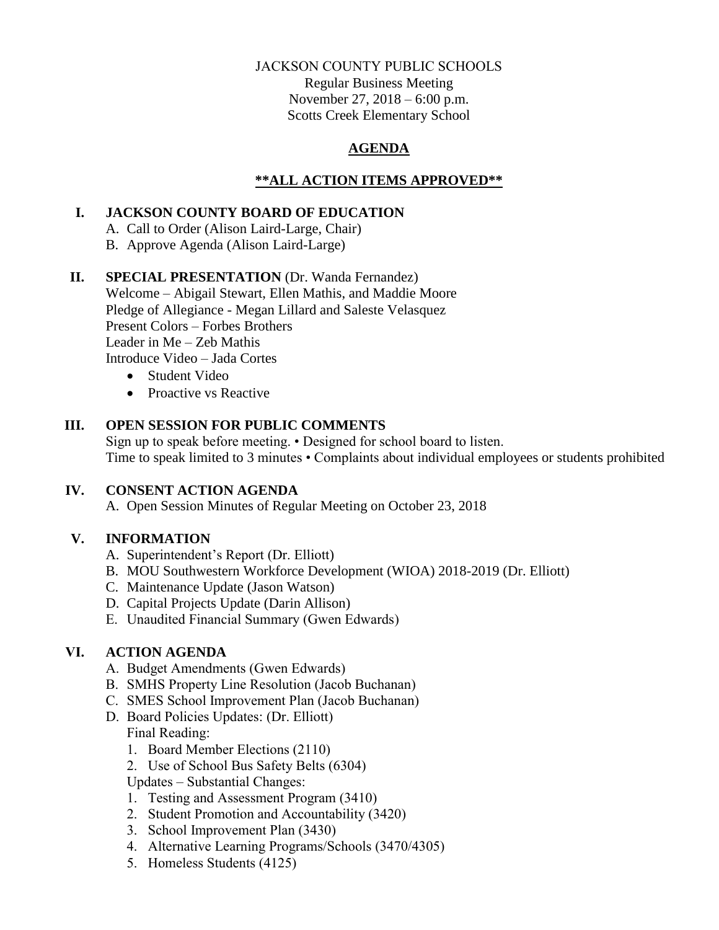### JACKSON COUNTY PUBLIC SCHOOLS

Regular Business Meeting November 27, 2018 – 6:00 p.m. Scotts Creek Elementary School

## **AGENDA**

## **\*\*ALL ACTION ITEMS APPROVED\*\***

## **I. JACKSON COUNTY BOARD OF EDUCATION**

- A. Call to Order (Alison Laird-Large, Chair)
- B. Approve Agenda (Alison Laird-Large)

## **II. SPECIAL PRESENTATION** (Dr. Wanda Fernandez)

Welcome – Abigail Stewart, Ellen Mathis, and Maddie Moore Pledge of Allegiance - Megan Lillard and Saleste Velasquez Present Colors – Forbes Brothers Leader in Me – Zeb Mathis Introduce Video – Jada Cortes

- Student Video
- Proactive vs Reactive

# **III. OPEN SESSION FOR PUBLIC COMMENTS**

Sign up to speak before meeting. • Designed for school board to listen. Time to speak limited to 3 minutes • Complaints about individual employees or students prohibited

## **IV. CONSENT ACTION AGENDA**

A. Open Session Minutes of Regular Meeting on October 23, 2018

# **V. INFORMATION**

- A. Superintendent's Report (Dr. Elliott)
- B. MOU Southwestern Workforce Development (WIOA) 2018-2019 (Dr. Elliott)
- C. Maintenance Update (Jason Watson)
- D. Capital Projects Update (Darin Allison)
- E. Unaudited Financial Summary (Gwen Edwards)

# **VI. ACTION AGENDA**

- A. Budget Amendments (Gwen Edwards)
- B. SMHS Property Line Resolution (Jacob Buchanan)
- C. SMES School Improvement Plan (Jacob Buchanan)
- D. Board Policies Updates: (Dr. Elliott)

## Final Reading:

- 1. Board Member Elections (2110)
- 2. Use of School Bus Safety Belts (6304)

Updates – Substantial Changes:

- 1. Testing and Assessment Program (3410)
- 2. Student Promotion and Accountability (3420)
- 3. School Improvement Plan (3430)
- 4. Alternative Learning Programs/Schools (3470/4305)
- 5. Homeless Students (4125)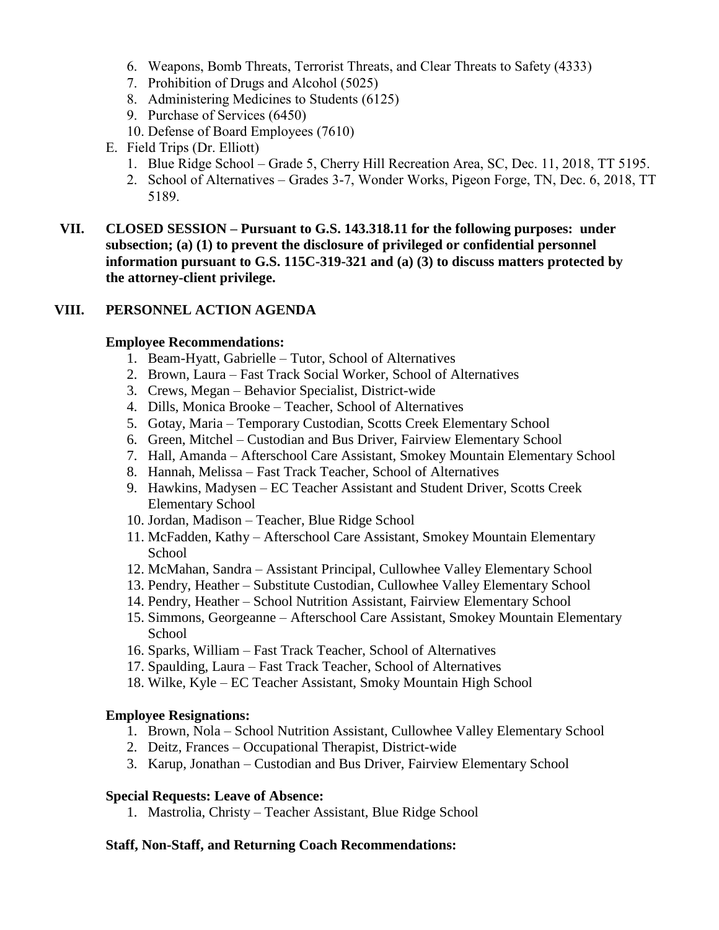- 6. Weapons, Bomb Threats, Terrorist Threats, and Clear Threats to Safety (4333)
- 7. Prohibition of Drugs and Alcohol (5025)
- 8. Administering Medicines to Students (6125)
- 9. Purchase of Services (6450)
- 10. Defense of Board Employees (7610)
- E. Field Trips (Dr. Elliott)
	- 1. Blue Ridge School Grade 5, Cherry Hill Recreation Area, SC, Dec. 11, 2018, TT 5195.
	- 2. School of Alternatives Grades 3-7, Wonder Works, Pigeon Forge, TN, Dec. 6, 2018, TT 5189.
- **VII. CLOSED SESSION – Pursuant to G.S. 143.318.11 for the following purposes: under subsection; (a) (1) to prevent the disclosure of privileged or confidential personnel information pursuant to G.S. 115C-319-321 and (a) (3) to discuss matters protected by the attorney-client privilege.**

### **VIII. PERSONNEL ACTION AGENDA**

#### **Employee Recommendations:**

- 1. Beam-Hyatt, Gabrielle Tutor, School of Alternatives
- 2. Brown, Laura Fast Track Social Worker, School of Alternatives
- 3. Crews, Megan Behavior Specialist, District-wide
- 4. Dills, Monica Brooke Teacher, School of Alternatives
- 5. Gotay, Maria Temporary Custodian, Scotts Creek Elementary School
- 6. Green, Mitchel Custodian and Bus Driver, Fairview Elementary School
- 7. Hall, Amanda Afterschool Care Assistant, Smokey Mountain Elementary School
- 8. Hannah, Melissa Fast Track Teacher, School of Alternatives
- 9. Hawkins, Madysen EC Teacher Assistant and Student Driver, Scotts Creek Elementary School
- 10. Jordan, Madison Teacher, Blue Ridge School
- 11. McFadden, Kathy Afterschool Care Assistant, Smokey Mountain Elementary School
- 12. McMahan, Sandra Assistant Principal, Cullowhee Valley Elementary School
- 13. Pendry, Heather Substitute Custodian, Cullowhee Valley Elementary School
- 14. Pendry, Heather School Nutrition Assistant, Fairview Elementary School
- 15. Simmons, Georgeanne Afterschool Care Assistant, Smokey Mountain Elementary School
- 16. Sparks, William Fast Track Teacher, School of Alternatives
- 17. Spaulding, Laura Fast Track Teacher, School of Alternatives
- 18. Wilke, Kyle EC Teacher Assistant, Smoky Mountain High School

### **Employee Resignations:**

- 1. Brown, Nola School Nutrition Assistant, Cullowhee Valley Elementary School
- 2. Deitz, Frances Occupational Therapist, District-wide
- 3. Karup, Jonathan Custodian and Bus Driver, Fairview Elementary School

#### **Special Requests: Leave of Absence:**

1. Mastrolia, Christy – Teacher Assistant, Blue Ridge School

### **Staff, Non-Staff, and Returning Coach Recommendations:**